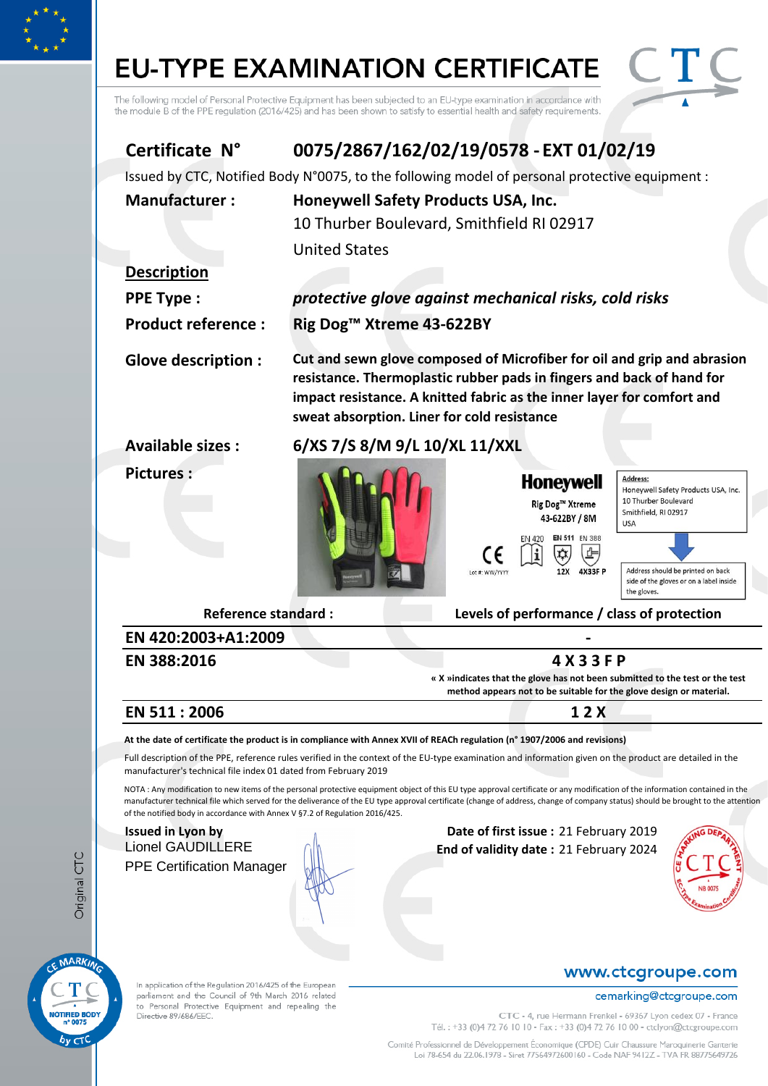# **EU-TYPE EXAMINATION CERTIFICATE**



| The following model of Personal Protective Equipment has been subjected to an EU-type examination in accordance with<br>the module B of the PPE regulation (2016/425) and has been shown to satisfy to essential health and safety requirements.                                                                                                                                                                                                                                                                                                                                                                                                                                                                                                                                                             |                      |                                                                                                                                                                                                |                                                                                                   |                                                                                                                                                                                                                     |  |
|--------------------------------------------------------------------------------------------------------------------------------------------------------------------------------------------------------------------------------------------------------------------------------------------------------------------------------------------------------------------------------------------------------------------------------------------------------------------------------------------------------------------------------------------------------------------------------------------------------------------------------------------------------------------------------------------------------------------------------------------------------------------------------------------------------------|----------------------|------------------------------------------------------------------------------------------------------------------------------------------------------------------------------------------------|---------------------------------------------------------------------------------------------------|---------------------------------------------------------------------------------------------------------------------------------------------------------------------------------------------------------------------|--|
| Certificate N°                                                                                                                                                                                                                                                                                                                                                                                                                                                                                                                                                                                                                                                                                                                                                                                               |                      | 0075/2867/162/02/19/0578 - EXT 01/02/19                                                                                                                                                        |                                                                                                   |                                                                                                                                                                                                                     |  |
| Issued by CTC, Notified Body N°0075, to the following model of personal protective equipment :                                                                                                                                                                                                                                                                                                                                                                                                                                                                                                                                                                                                                                                                                                               |                      |                                                                                                                                                                                                |                                                                                                   |                                                                                                                                                                                                                     |  |
| <b>Manufacturer:</b>                                                                                                                                                                                                                                                                                                                                                                                                                                                                                                                                                                                                                                                                                                                                                                                         | <b>United States</b> | Honeywell Safety Products USA, Inc.<br>10 Thurber Boulevard, Smithfield RI 02917                                                                                                               |                                                                                                   |                                                                                                                                                                                                                     |  |
| <b>Description</b>                                                                                                                                                                                                                                                                                                                                                                                                                                                                                                                                                                                                                                                                                                                                                                                           |                      |                                                                                                                                                                                                |                                                                                                   |                                                                                                                                                                                                                     |  |
| <b>PPE Type:</b>                                                                                                                                                                                                                                                                                                                                                                                                                                                                                                                                                                                                                                                                                                                                                                                             |                      | protective glove against mechanical risks, cold risks                                                                                                                                          |                                                                                                   |                                                                                                                                                                                                                     |  |
| <b>Product reference:</b>                                                                                                                                                                                                                                                                                                                                                                                                                                                                                                                                                                                                                                                                                                                                                                                    |                      | Rig Dog <sup>™</sup> Xtreme 43-622BY                                                                                                                                                           |                                                                                                   |                                                                                                                                                                                                                     |  |
| <b>Glove description:</b>                                                                                                                                                                                                                                                                                                                                                                                                                                                                                                                                                                                                                                                                                                                                                                                    |                      | resistance. Thermoplastic rubber pads in fingers and back of hand for<br>impact resistance. A knitted fabric as the inner layer for comfort and<br>sweat absorption. Liner for cold resistance |                                                                                                   | Cut and sewn glove composed of Microfiber for oil and grip and abrasion                                                                                                                                             |  |
| <b>Available sizes:</b>                                                                                                                                                                                                                                                                                                                                                                                                                                                                                                                                                                                                                                                                                                                                                                                      |                      | 6/XS 7/S 8/M 9/L 10/XL 11/XXL                                                                                                                                                                  |                                                                                                   |                                                                                                                                                                                                                     |  |
| <b>Pictures:</b>                                                                                                                                                                                                                                                                                                                                                                                                                                                                                                                                                                                                                                                                                                                                                                                             |                      | CE<br>Lot #: WW/YYYY                                                                                                                                                                           | <b>Honeywell</b><br>Rig Dog™ Xtreme<br>43-622BY / 8M<br>EN 511 EN 388<br>EN 420<br>12X<br>4X33F P | <b>Address:</b><br>Honeywell Safety Products USA, Inc.<br>10 Thurber Boulevard<br>Smithfield, RI 02917<br><b>USA</b><br>Address should be printed on back<br>side of the gloves or on a label inside<br>the gloves. |  |
| <b>Reference standard:</b>                                                                                                                                                                                                                                                                                                                                                                                                                                                                                                                                                                                                                                                                                                                                                                                   |                      |                                                                                                                                                                                                |                                                                                                   | Levels of performance / class of protection                                                                                                                                                                         |  |
| EN 420:2003+A1:2009<br>EN 388:2016                                                                                                                                                                                                                                                                                                                                                                                                                                                                                                                                                                                                                                                                                                                                                                           |                      |                                                                                                                                                                                                | 4 X 3 3 F P                                                                                       |                                                                                                                                                                                                                     |  |
|                                                                                                                                                                                                                                                                                                                                                                                                                                                                                                                                                                                                                                                                                                                                                                                                              |                      |                                                                                                                                                                                                |                                                                                                   | « X »indicates that the glove has not been submitted to the test or the test<br>method appears not to be suitable for the glove design or material.                                                                 |  |
| EN 511:2006                                                                                                                                                                                                                                                                                                                                                                                                                                                                                                                                                                                                                                                                                                                                                                                                  |                      |                                                                                                                                                                                                | 12X                                                                                               |                                                                                                                                                                                                                     |  |
| At the date of certificate the product is in compliance with Annex XVII of REACh regulation (n° 1907/2006 and revisions)<br>Full description of the PPE, reference rules verified in the context of the EU-type examination and information given on the product are detailed in the<br>manufacturer's technical file index 01 dated from February 2019<br>NOTA: Any modification to new items of the personal protective equipment object of this EU type approval certificate or any modification of the information contained in the<br>manufacturer technical file which served for the deliverance of the EU type approval certificate (change of address, change of company status) should be brought to the attention<br>of the notified body in accordance with Annex V §7.2 of Regulation 2016/425. |                      |                                                                                                                                                                                                |                                                                                                   |                                                                                                                                                                                                                     |  |
| <b>Issued in Lyon by</b><br><b>Lionel GAUDILLERE</b><br><b>PPE Certification Manager</b>                                                                                                                                                                                                                                                                                                                                                                                                                                                                                                                                                                                                                                                                                                                     |                      |                                                                                                                                                                                                | Date of first issue: 21 February 2019<br>End of validity date: 21 February 2024                   |                                                                                                                                                                                                                     |  |
|                                                                                                                                                                                                                                                                                                                                                                                                                                                                                                                                                                                                                                                                                                                                                                                                              |                      |                                                                                                                                                                                                |                                                                                                   | www.ctcgroupe.com                                                                                                                                                                                                   |  |
| In application of the Regulation 2016/425 of the European<br>parliament and the Council of 9th March 2016 related<br>to Personal Protective Equipment and repealing the<br>Directive 89/686/EEC.                                                                                                                                                                                                                                                                                                                                                                                                                                                                                                                                                                                                             |                      |                                                                                                                                                                                                |                                                                                                   | cemarking@ctcgroupe.com<br>CTC - 4, rue Hermann Frenkel - 69367 Lyon cedex 07 - France<br>Tél.: +33 (0)4 72 76 10 10 - Fax: +33 (0)4 72 76 10 00 - ctclyon@ctcgroupe.com                                            |  |

Original CTC

MARKING

т

NOTIFIED BODY

 $b_V$   $C1$ 

Comité Professionnel de Développement Économique (CPDE) Cuir Chaussure Maroquinerie Ganterie<br>Loi 78-654 du 22.06.1978 - Siret 77564972600160 - Code NAF 9412Z - TVA FR 88775649726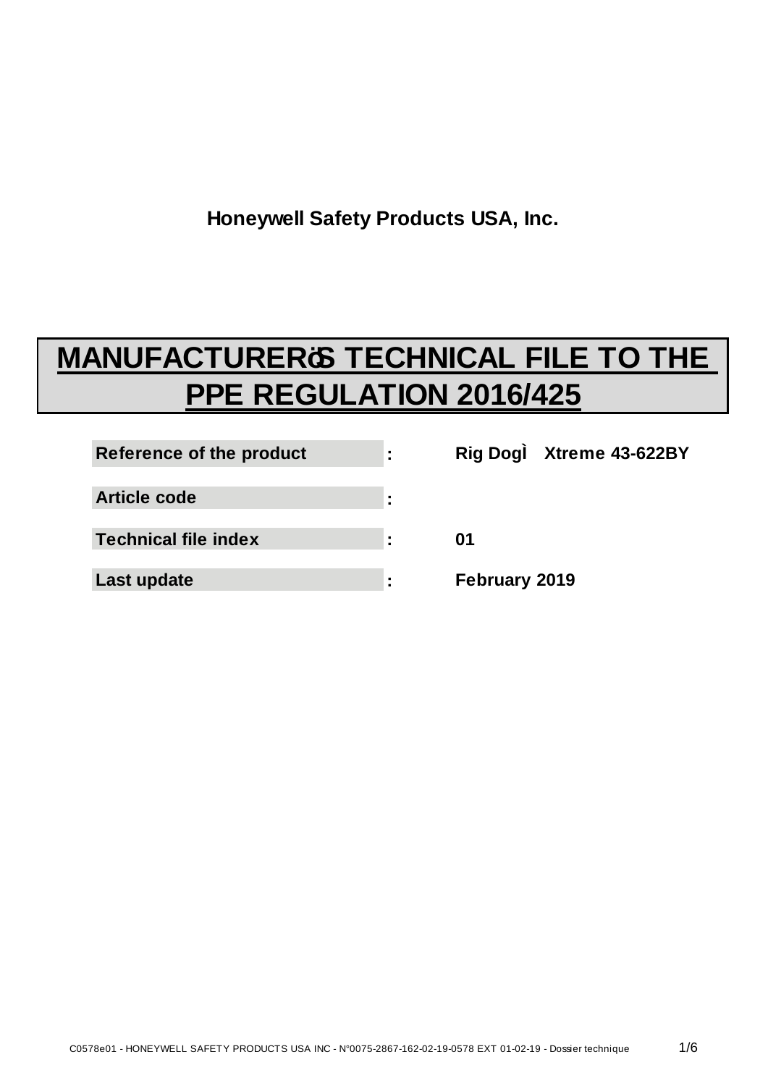**Honeywell Safety Products USA, Inc.**

# **MANUFACTURER<del>ES</del>** TECHNICAL FILE TO THE **PPE REGULATION 2016/425**

| Reference of the product    | ÷ |               | Rig Dog: Xtreme 43-622BY |
|-----------------------------|---|---------------|--------------------------|
| <b>Article code</b>         | ٠ |               |                          |
| <b>Technical file index</b> | ÷ | 01            |                          |
| Last update                 |   | February 2019 |                          |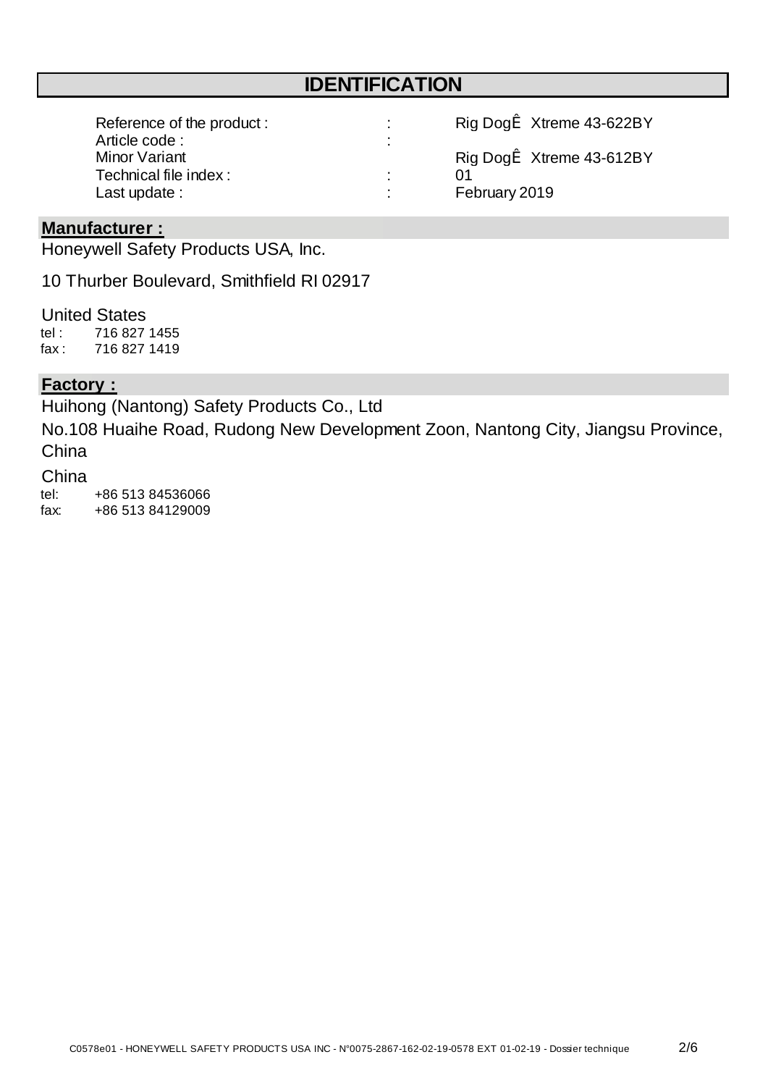# **IDENTIFICATION**

| Reference of the product: | Rig Dogi Xtreme 43-622BY |  |
|---------------------------|--------------------------|--|
| Article code:             |                          |  |
| Minor Variant             | Rig Dogi Xtreme 43-612BY |  |
| Technical file index:     | በ1                       |  |
| Last update:              | February 2019            |  |

## **Manufacturer :**

Honeywell Safety Products USA, Inc.

10 Thurber Boulevard, Smithfield RI 02917

#### United States

tel : fax : 716 827 1419 716 827 1455

#### **Factory :**

Huihong (Nantong) Safety Products Co., Ltd

No.108 Huaihe Road, Rudong New Development Zoon, Nantong City, Jiangsu Province, China

#### China

tel: fax: +86 513 84536066 +86 513 84129009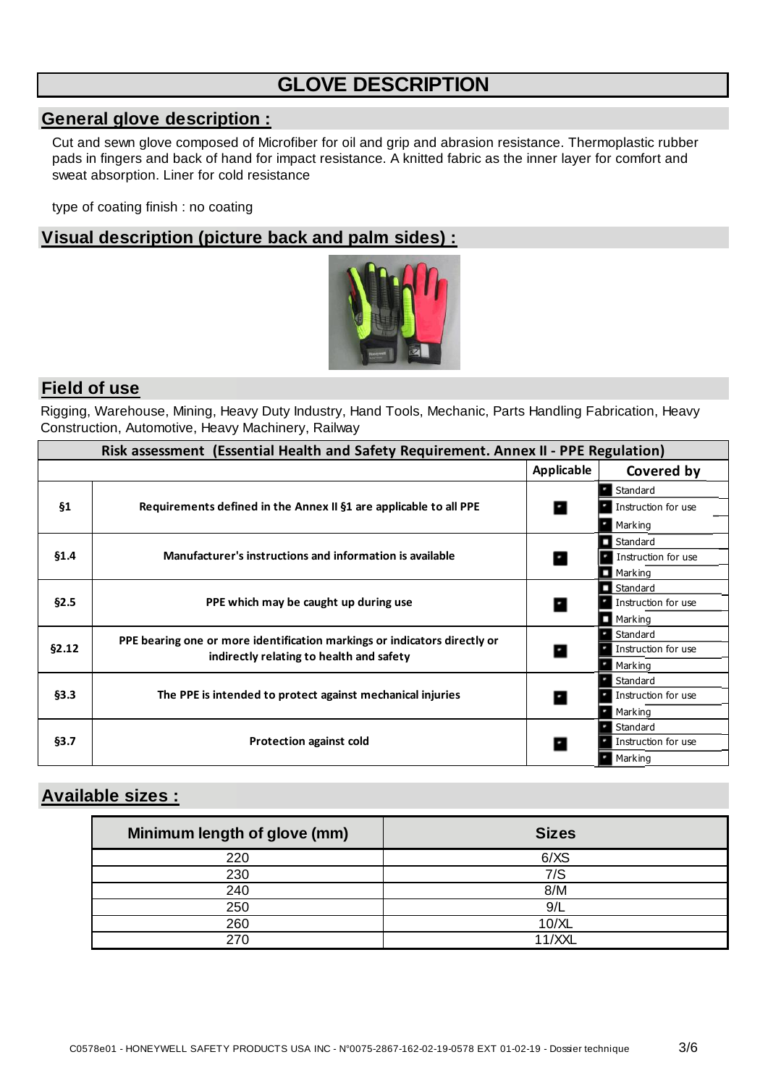# **GLOVE DESCRIPTION**

#### **General glove description :**

Cut and sewn glove composed of Microfiber for oil and grip and abrasion resistance. Thermoplastic rubber pads in fingers and back of hand for impact resistance. A knitted fabric as the inner layer for comfort and sweat absorption. Liner for cold resistance

type of coating finish : no coating

## **Visual description (picture back and palm sides) :**



#### **Field of use**

Rigging, Warehouse, Mining, Heavy Duty Industry, Hand Tools, Mechanic, Parts Handling Fabrication, Heavy Construction, Automotive, Heavy Machinery, Railway

| Risk assessment (Essential Health and Safety Requirement. Annex II - PPE Regulation) |                                                                           |                   |                        |  |
|--------------------------------------------------------------------------------------|---------------------------------------------------------------------------|-------------------|------------------------|--|
|                                                                                      |                                                                           | <b>Applicable</b> | Covered by             |  |
|                                                                                      |                                                                           |                   | Standard               |  |
| $\S_1$                                                                               | Requirements defined in the Annex II §1 are applicable to all PPE         |                   | Instruction for use    |  |
|                                                                                      |                                                                           |                   | Marking                |  |
|                                                                                      |                                                                           |                   | Standard               |  |
| \$1.4\$                                                                              | Manufacturer's instructions and information is available                  | ш                 | Instruction for use    |  |
|                                                                                      |                                                                           |                   | $\blacksquare$ Marking |  |
|                                                                                      |                                                                           |                   | Standard               |  |
| §2.5                                                                                 | PPE which may be caught up during use                                     | м                 | Instruction for use    |  |
|                                                                                      |                                                                           |                   | Marking                |  |
|                                                                                      | PPE bearing one or more identification markings or indicators directly or |                   | Standard               |  |
| §2.12                                                                                | indirectly relating to health and safety                                  |                   | Instruction for use    |  |
|                                                                                      |                                                                           |                   | Marking                |  |
|                                                                                      |                                                                           |                   | Standard               |  |
| §3.3                                                                                 | The PPE is intended to protect against mechanical injuries                |                   | Instruction for use    |  |
|                                                                                      |                                                                           |                   | Marking                |  |
|                                                                                      | <b>Protection against cold</b>                                            |                   | Standard               |  |
| §3.7                                                                                 |                                                                           |                   | Instruction for use    |  |
|                                                                                      |                                                                           |                   | Marking                |  |

## **Available sizes :**

| Minimum length of glove (mm) | <b>Sizes</b> |
|------------------------------|--------------|
| 220                          | 6/XS         |
| 230                          | 7/S          |
| 240                          | 8/M          |
| 250                          | 9/L          |
| 260                          | 10/XL        |
|                              | 11/XXL       |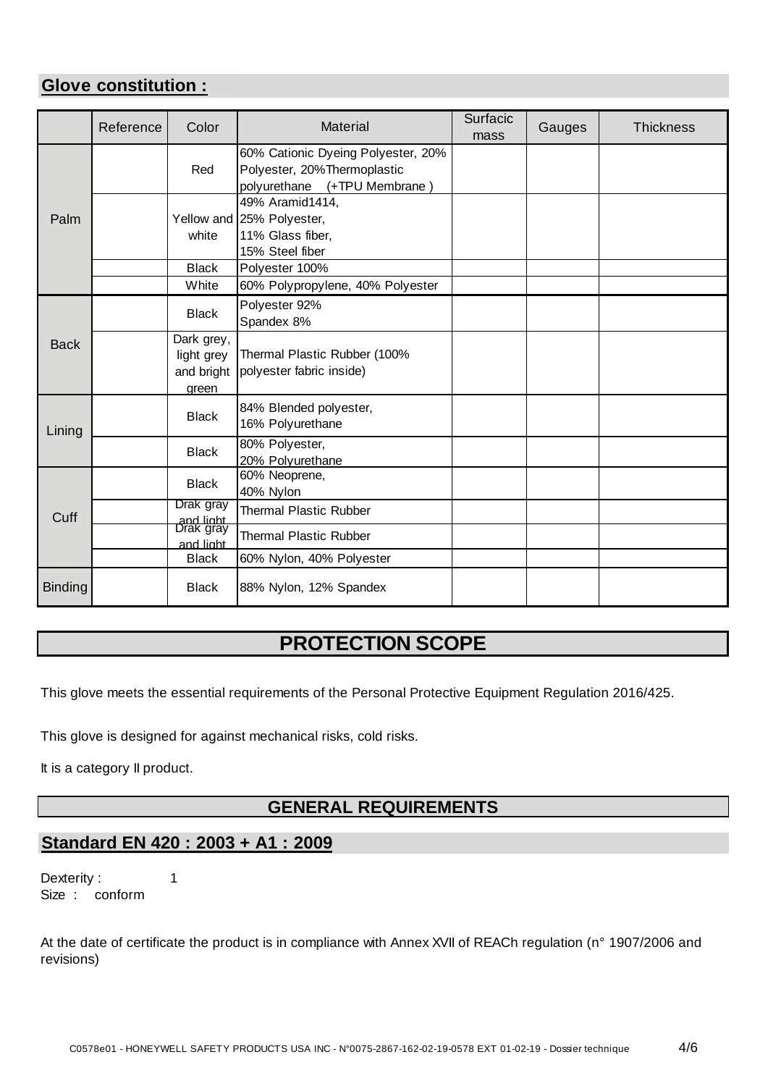## **Glove constitution :**

|                | Reference | Color                                           | <b>Material</b>                                                                                   | Surfacic<br>mass | Gauges | <b>Thickness</b> |
|----------------|-----------|-------------------------------------------------|---------------------------------------------------------------------------------------------------|------------------|--------|------------------|
|                |           | Red                                             | 60% Cationic Dyeing Polyester, 20%<br>Polyester, 20%Thermoplastic<br>polyurethane (+TPU Membrane) |                  |        |                  |
| Palm           |           | white                                           | 49% Aramid1414,<br>Yellow and 25% Polyester,<br>11% Glass fiber,<br>15% Steel fiber               |                  |        |                  |
|                |           | <b>Black</b><br>White                           | Polyester 100%                                                                                    |                  |        |                  |
|                |           | <b>Black</b>                                    | 60% Polypropylene, 40% Polyester<br>Polyester 92%<br>Spandex 8%                                   |                  |        |                  |
| <b>Back</b>    |           | Dark grey,<br>light grey<br>and bright<br>green | Thermal Plastic Rubber (100%<br>polyester fabric inside)                                          |                  |        |                  |
| Lining         |           | <b>Black</b>                                    | 84% Blended polyester,<br>16% Polyurethane                                                        |                  |        |                  |
|                |           | <b>Black</b>                                    | 80% Polyester,<br>20% Polyurethane                                                                |                  |        |                  |
|                |           | <b>Black</b>                                    | 60% Neoprene,<br>40% Nylon                                                                        |                  |        |                  |
| Cuff           |           | Drak gray                                       | <b>Thermal Plastic Rubber</b>                                                                     |                  |        |                  |
|                |           | and light<br>Drak gray<br>and light             | <b>Thermal Plastic Rubber</b>                                                                     |                  |        |                  |
|                |           | <b>Black</b>                                    | 60% Nylon, 40% Polyester                                                                          |                  |        |                  |
| <b>Binding</b> |           | <b>Black</b>                                    | 88% Nylon, 12% Spandex                                                                            |                  |        |                  |

# **PROTECTION SCOPE**

This glove meets the essential requirements of the Personal Protective Equipment Regulation 2016/425.

This glove is designed for against mechanical risks, cold risks.

It is a category II product.

## **GENERAL REQUIREMENTS**

## **Standard EN 420 : 2003 + A1 : 2009**

1 Size : conform Dexterity :

At the date of certificate the product is in compliance with Annex XVII of REACh regulation (n° 1907/2006 and revisions)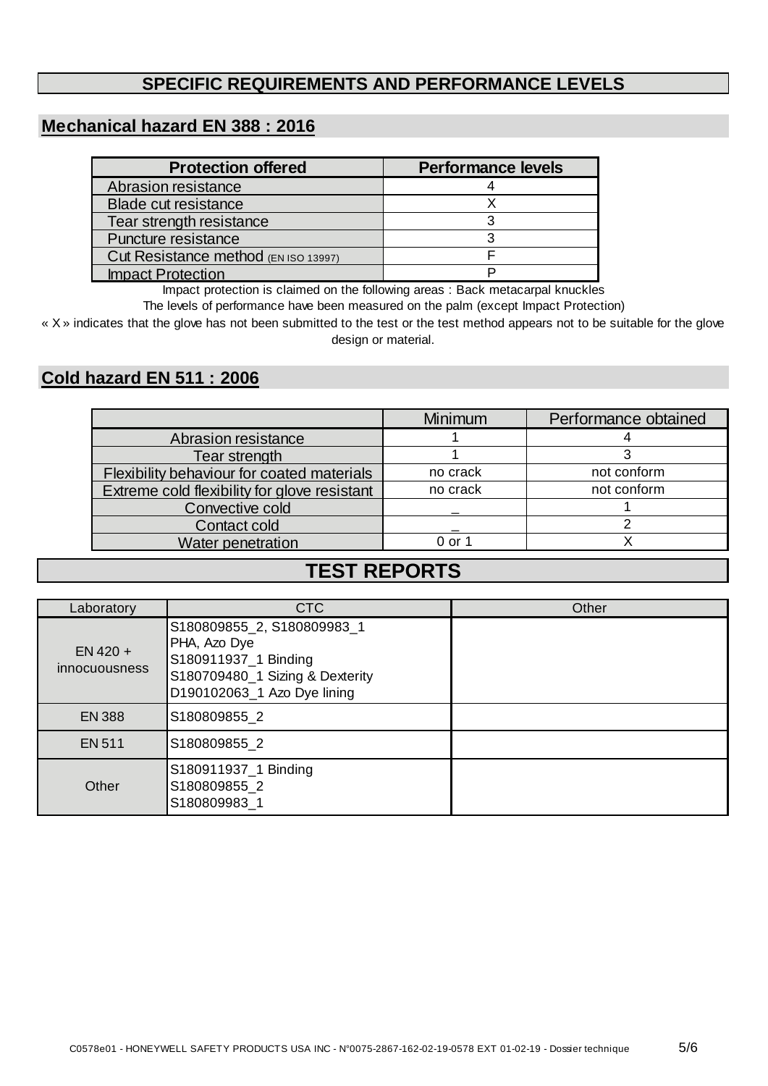## **SPECIFIC REQUIREMENTS AND PERFORMANCE LEVELS**

## **Mechanical hazard EN 388 : 2016**

| <b>Protection offered</b>            | <b>Performance levels</b> |
|--------------------------------------|---------------------------|
| Abrasion resistance                  |                           |
| <b>Blade cut resistance</b>          |                           |
| Tear strength resistance             |                           |
| Puncture resistance                  |                           |
| Cut Resistance method (EN ISO 13997) |                           |
| <b>Impact Protection</b>             |                           |

Impact protection is claimed on the following areas : Back metacarpal knuckles

The levels of performance have been measured on the palm (except Impact Protection)

« X » indicates that the glove has not been submitted to the test or the test method appears not to be suitable for the glove design or material.

## **Cold hazard EN 511 : 2006**

|                                              | <b>Minimum</b> | Performance obtained |
|----------------------------------------------|----------------|----------------------|
| Abrasion resistance                          |                |                      |
| Tear strength                                |                |                      |
| Flexibility behaviour for coated materials   | no crack       | not conform          |
| Extreme cold flexibility for glove resistant | no crack       | not conform          |
| Convective cold                              |                |                      |
| Contact cold                                 |                |                      |
| <b>Water penetration</b>                     | 0 or 1         |                      |

# **TEST REPORTS**

| Laboratory                  | CTC                                                                                                                                  | Other |
|-----------------------------|--------------------------------------------------------------------------------------------------------------------------------------|-------|
| $EN$ 420 +<br>innocuousness | S180809855_2, S180809983_1<br>PHA, Azo Dye<br>S180911937_1 Binding<br>S180709480_1 Sizing & Dexterity<br>D190102063_1 Azo Dye lining |       |
| <b>EN 388</b>               | S180809855 2                                                                                                                         |       |
| <b>EN 511</b>               | S180809855 2                                                                                                                         |       |
| Other                       | S180911937_1 Binding<br>S180809855 2<br>S180809983 1                                                                                 |       |